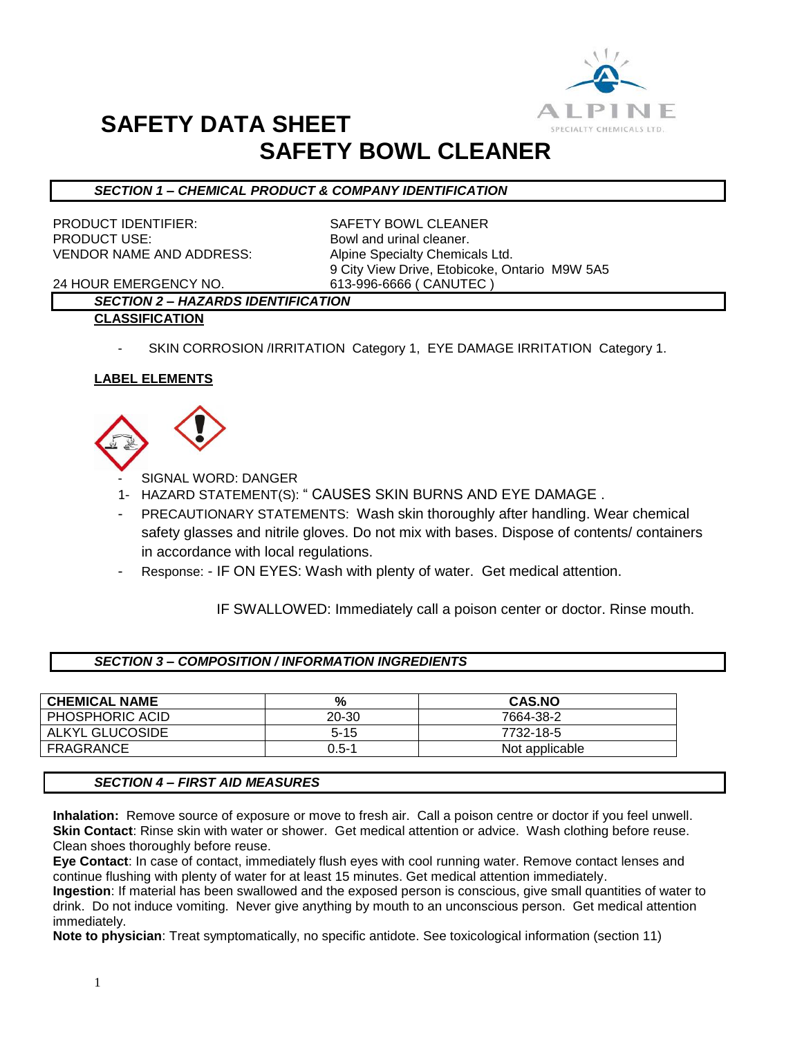

# **SAFETY DATA SHEET SAFETY BOWL CLEANER**

# *SECTION 1 – CHEMICAL PRODUCT & COMPANY IDENTIFICATION*

PRODUCT IDENTIFIER: SAFETY BOWL CLEANER PRODUCT USE: Bowl and urinal cleaner. VENDOR NAME AND ADDRESS: Alpine Specialty Chemicals Ltd.

9 City View Drive, Etobicoke, Ontario M9W 5A5

24 HOUR EMERGENCY NO. 613-996-6666 ( CANUTEC )

# *SECTION 2 – HAZARDS IDENTIFICATION*

- **CLASSIFICATION**
	- SKIN CORROSION /IRRITATION Category 1, EYE DAMAGE IRRITATION Category 1.

# **LABEL ELEMENTS**



SIGNAL WORD: DANGER

- 1- HAZARD STATEMENT(S): " CAUSES SKIN BURNS AND EYE DAMAGE .
- PRECAUTIONARY STATEMENTS: Wash skin thoroughly after handling. Wear chemical safety glasses and nitrile gloves. Do not mix with bases. Dispose of contents/ containers in accordance with local regulations.
- Response: IF ON EYES: Wash with plenty of water. Get medical attention.

IF SWALLOWED: Immediately call a poison center or doctor. Rinse mouth.

| <b>SECTION 3 - COMPOSITION / INFORMATION INGREDIENTS</b> |  |
|----------------------------------------------------------|--|
|                                                          |  |

| <b>CHEMICAL NAME</b> | %        | <b>CAS.NO</b>  |
|----------------------|----------|----------------|
| PHOSPHORIC ACID      | 20-30    | 7664-38-2      |
| ALKYL GLUCOSIDE      | $5 - 15$ | 7732-18-5      |
| FRAGRANCE            | 0.5-1    | Not applicable |

### *SECTION 4 – FIRST AID MEASURES*

**Inhalation:** Remove source of exposure or move to fresh air. Call a poison centre or doctor if you feel unwell. **Skin Contact**: Rinse skin with water or shower. Get medical attention or advice. Wash clothing before reuse. Clean shoes thoroughly before reuse.

**Eye Contact**: In case of contact, immediately flush eyes with cool running water. Remove contact lenses and continue flushing with plenty of water for at least 15 minutes. Get medical attention immediately.

**Ingestion**: If material has been swallowed and the exposed person is conscious, give small quantities of water to drink. Do not induce vomiting. Never give anything by mouth to an unconscious person. Get medical attention immediately.

**Note to physician**: Treat symptomatically, no specific antidote. See toxicological information (section 11)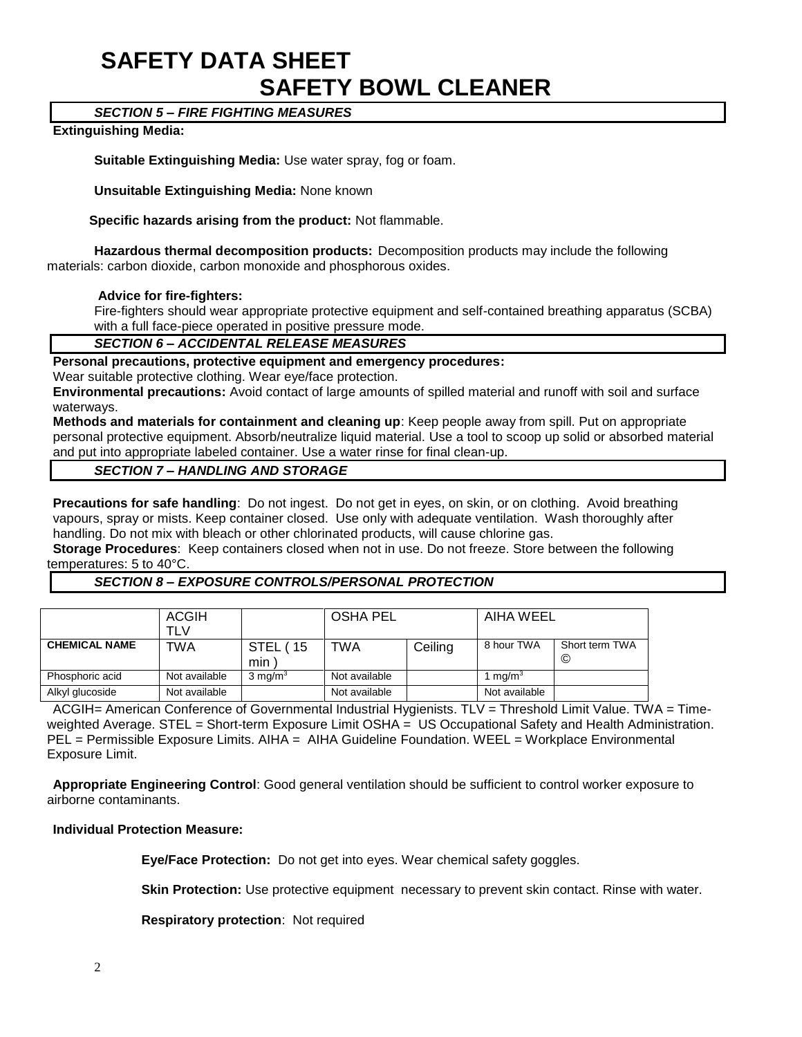# **SAFETY DATA SHEET SAFETY BOWL CLEANER**

### *SECTION 5 – FIRE FIGHTING MEASURES*

#### **Extinguishing Media:**

**Suitable Extinguishing Media:** Use water spray, fog or foam.

**Unsuitable Extinguishing Media:** None known

 **Specific hazards arising from the product:** Not flammable.

**Hazardous thermal decomposition products:** Decomposition products may include the following materials: carbon dioxide, carbon monoxide and phosphorous oxides.

#### **Advice for fire-fighters:**

Fire-fighters should wear appropriate protective equipment and self-contained breathing apparatus (SCBA) with a full face-piece operated in positive pressure mode.

#### *SECTION 6 – ACCIDENTAL RELEASE MEASURES*

#### **Personal precautions, protective equipment and emergency procedures:**

Wear suitable protective clothing. Wear eve/face protection.

**Environmental precautions:** Avoid contact of large amounts of spilled material and runoff with soil and surface waterways.

**Methods and materials for containment and cleaning up**: Keep people away from spill. Put on appropriate personal protective equipment. Absorb/neutralize liquid material. Use a tool to scoop up solid or absorbed material and put into appropriate labeled container. Use a water rinse for final clean-up.

*SECTION 7 – HANDLING AND STORAGE*

**Precautions for safe handling**: Do not ingest. Do not get in eyes, on skin, or on clothing. Avoid breathing vapours, spray or mists. Keep container closed. Use only with adequate ventilation. Wash thoroughly after handling. Do not mix with bleach or other chlorinated products, will cause chlorine gas.

**Storage Procedures**: Keep containers closed when not in use. Do not freeze. Store between the following temperatures: 5 to 40°C.

### *SECTION 8 – EXPOSURE CONTROLS/PERSONAL PROTECTION*

|                      | <b>ACGIH</b><br>TLV |                    | <b>OSHA PEL</b> |         | AIHA WEEL         |                     |
|----------------------|---------------------|--------------------|-----------------|---------|-------------------|---------------------|
| <b>CHEMICAL NAME</b> | TWA                 | STEL (15<br>min    | TWA             | Ceiling | 8 hour TWA        | Short term TWA<br>© |
| Phosphoric acid      | Not available       | $3 \text{ mg/m}^3$ | Not available   |         | ma/m <sup>3</sup> |                     |
| Alkyl glucoside      | Not available       |                    | Not available   |         | Not available     |                     |

ACGIH= American Conference of Governmental Industrial Hygienists. TLV = Threshold Limit Value. TWA = Timeweighted Average. STEL = Short-term Exposure Limit OSHA = US Occupational Safety and Health Administration. PEL = Permissible Exposure Limits. AIHA = AIHA Guideline Foundation. WEEL = Workplace Environmental Exposure Limit.

**Appropriate Engineering Control**: Good general ventilation should be sufficient to control worker exposure to airborne contaminants.

#### **Individual Protection Measure:**

**Eye/Face Protection:** Do not get into eyes. Wear chemical safety goggles.

**Skin Protection:** Use protective equipment necessary to prevent skin contact. Rinse with water.

**Respiratory protection**: Not required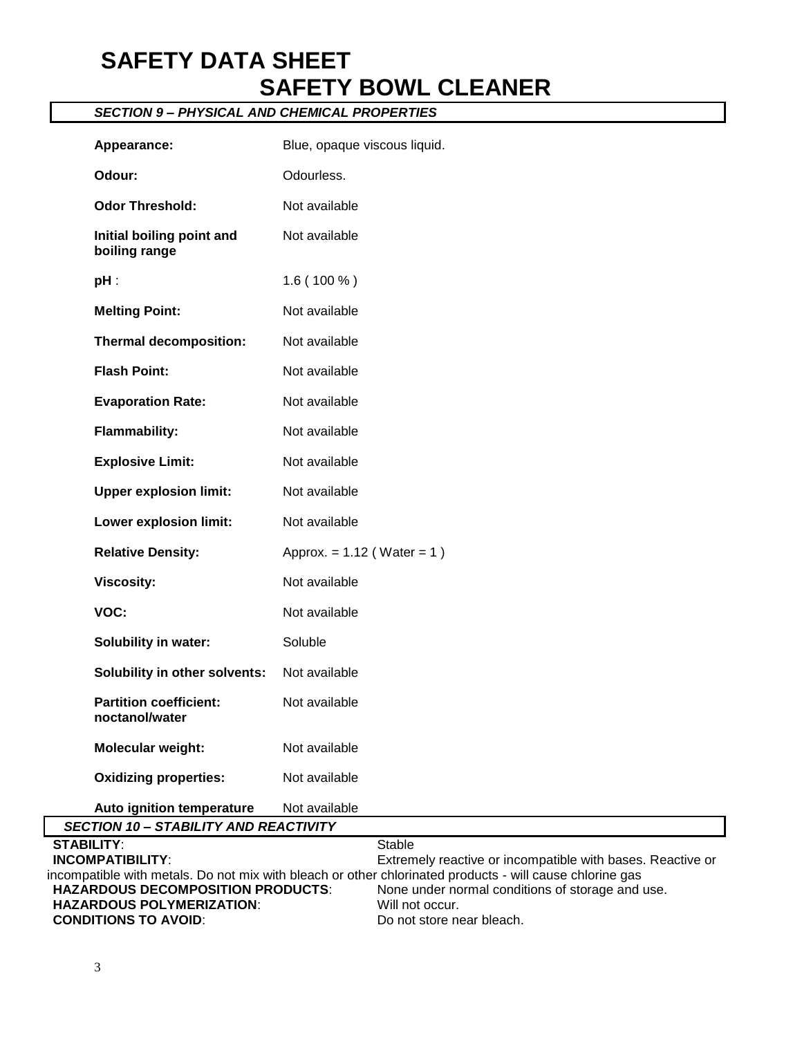# **SAFETY DATA SHEET SAFETY BOWL CLEANER**

# *SECTION 9 – PHYSICAL AND CHEMICAL PROPERTIES*

| Appearance:                                     | Blue, opaque viscous liquid.                                                |  |  |  |
|-------------------------------------------------|-----------------------------------------------------------------------------|--|--|--|
| Odour:                                          | Odourless.                                                                  |  |  |  |
| <b>Odor Threshold:</b>                          | Not available                                                               |  |  |  |
| Initial boiling point and<br>boiling range      | Not available                                                               |  |  |  |
| $pH$ :                                          | $1.6(100\%)$                                                                |  |  |  |
| <b>Melting Point:</b>                           | Not available                                                               |  |  |  |
| <b>Thermal decomposition:</b>                   | Not available                                                               |  |  |  |
| <b>Flash Point:</b>                             | Not available                                                               |  |  |  |
| <b>Evaporation Rate:</b>                        | Not available                                                               |  |  |  |
| <b>Flammability:</b>                            | Not available                                                               |  |  |  |
| <b>Explosive Limit:</b>                         | Not available                                                               |  |  |  |
| <b>Upper explosion limit:</b>                   | Not available                                                               |  |  |  |
| Lower explosion limit:                          | Not available                                                               |  |  |  |
| <b>Relative Density:</b>                        | Approx. = $1.12$ (Water = 1)                                                |  |  |  |
| <b>Viscosity:</b>                               | Not available                                                               |  |  |  |
| VOC:                                            | Not available                                                               |  |  |  |
| Solubility in water:                            | Soluble                                                                     |  |  |  |
| Solubility in other solvents:                   | Not available                                                               |  |  |  |
| <b>Partition coefficient:</b><br>noctanol/water | Not available                                                               |  |  |  |
| Molecular weight:                               | Not available                                                               |  |  |  |
| <b>Oxidizing properties:</b>                    | Not available                                                               |  |  |  |
| Auto ignition temperature                       | Not available                                                               |  |  |  |
| <b>SECTION 10 - STABILITY AND REACTIVITY</b>    |                                                                             |  |  |  |
| <b>STABILITY:</b><br><b>INCOMPATIRII ITY·</b>   | <b>Stable</b><br>Extremely reactive or incompatible with bases. Reactive or |  |  |  |

**INCOMPATIBILITY**: Extremely reactive or incompatible with bases. Reactive or incompatible with metals. Do not mix with bleach or other chlorinated products - will cause chlorine gas<br> **HAZARDOUS DECOMPOSITION PRODUCTS:** None under normal conditions of storage and u None under normal conditions of storage and use.<br>Will not occur. **HAZARDOUS POLYMERIZATION: CONDITIONS TO AVOID:** Do not store near bleach.